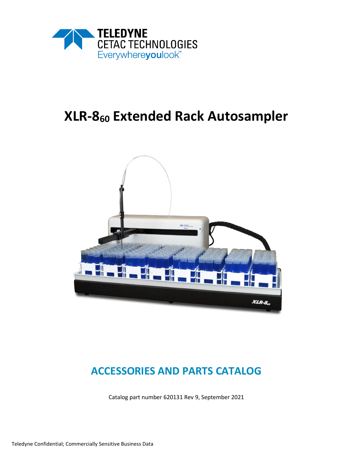

# **XLR-8<sup>60</sup> Extended Rack Autosampler**



# **ACCESSORIES AND PARTS CATALOG**

Catalog part number 620131 Rev 9, September 2021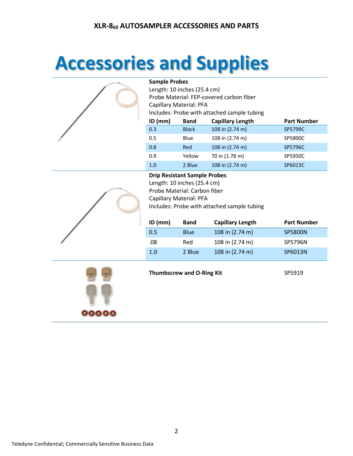# **Accessories and Supplies**



#### **Sample Probes**

| $ID$ (mm)<br><b>Band</b>                    | <b>Capillary Length</b> | <b>Part Number</b> |  |  |  |
|---------------------------------------------|-------------------------|--------------------|--|--|--|
| Includes: Probe with attached sample tubing |                         |                    |  |  |  |
| Capillary Material: PFA                     |                         |                    |  |  |  |
| Probe Material: FEP-covered carbon fiber    |                         |                    |  |  |  |
| Length: 10 inches (25.4 cm)                 |                         |                    |  |  |  |
|                                             |                         |                    |  |  |  |

| 0.3 | <b>Black</b> | 108 in (2.74 m) | SP5799C |
|-----|--------------|-----------------|---------|
| 0.5 | Blue         | 108 in (2.74 m) | SP5800C |
| 0.8 | Red          | 108 in (2.74 m) | SP5796C |
| 0.9 | Yellow       | 70 in (1.78 m)  | SP5950C |
| 1.0 | 2 Blue       | 108 in (2.74 m) | SP6013C |

#### **Drip Resistant Sample Probes**

Length: 10 inches (25.4 cm) Probe Material: Carbon fiber Capillary Material: PFA Includes: Probe with attached sample tubing

| $ID$ (mm) | <b>Band</b> | <b>Capillary Length</b> | <b>Part Number</b> |
|-----------|-------------|-------------------------|--------------------|
| 0.5       | Blue        | 108 in (2.74 m)         | <b>SP5800N</b>     |
| .08       | Red         | 108 in (2.74 m)         | SP5796N            |
| 1.0       | 2 Blue      | 108 in (2.74 m)         | SP6013N            |



**Thumbscrew and O-Ring Kit** SP5919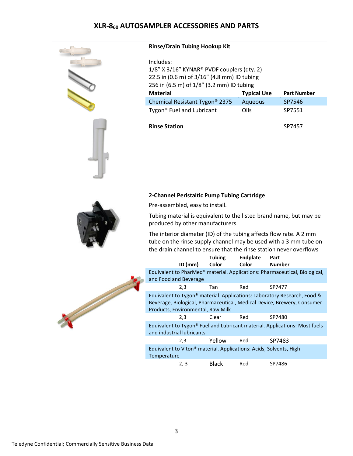| <b>Rinse/Drain Tubing Hookup Kit</b>                                                                                                                            |                    |                    |
|-----------------------------------------------------------------------------------------------------------------------------------------------------------------|--------------------|--------------------|
| Includes:<br>1/8" X 3/16" KYNAR <sup>®</sup> PVDF couplers (qty. 2)<br>22.5 in (0.6 m) of 3/16" (4.8 mm) ID tubing<br>256 in (6.5 m) of 1/8" (3.2 mm) ID tubing |                    |                    |
| <b>Material</b>                                                                                                                                                 | <b>Typical Use</b> | <b>Part Number</b> |
| Chemical Resistant Tygon <sup>®</sup> 2375                                                                                                                      | Aqueous            | SP7546             |
| Tygon <sup>®</sup> Fuel and Lubricant                                                                                                                           | Oils               | SP7551             |
| <b>Rinse Station</b>                                                                                                                                            |                    | SP7457             |
|                                                                                                                                                                 |                    |                    |

#### **2-Channel Peristaltic Pump Tubing Cartridge**

Pre-assembled, easy to install.



Tubing material is equivalent to the listed brand name, but may be produced by other manufacturers.

The interior diameter (ID) of the tubing affects flow rate. A 2 mm tube on the rinse supply channel may be used with a 3 mm tube on the drain channel to ensure that the rinse station never overflows

|  |                                                                                                                                                                                          | <b>Tubing</b> | <b>Endplate</b> | Part          |
|--|------------------------------------------------------------------------------------------------------------------------------------------------------------------------------------------|---------------|-----------------|---------------|
|  | $ID$ (mm)                                                                                                                                                                                | Color         | Color           | <b>Number</b> |
|  | Equivalent to PharMed <sup>®</sup> material. Applications: Pharmaceutical, Biological,<br>and Food and Beverage                                                                          |               |                 |               |
|  | 2,3                                                                                                                                                                                      | Tan           | Red             | SP7477        |
|  | Equivalent to Tygon® material. Applications: Laboratory Research, Food &<br>Beverage, Biological, Pharmaceutical, Medical Device, Brewery, Consumer<br>Products, Environmental, Raw Milk |               |                 |               |
|  | 2,3                                                                                                                                                                                      | Clear         | Red             | SP7480        |
|  | Equivalent to Tygon® Fuel and Lubricant material. Applications: Most fuels<br>and industrial lubricants                                                                                  |               |                 |               |
|  | 2,3                                                                                                                                                                                      | Yellow        | Red             | SP7483        |
|  | Equivalent to Viton <sup>®</sup> material. Applications: Acids, Solvents, High<br>Temperature                                                                                            |               |                 |               |
|  | 2, 3                                                                                                                                                                                     | <b>Black</b>  | Red             | SP7486        |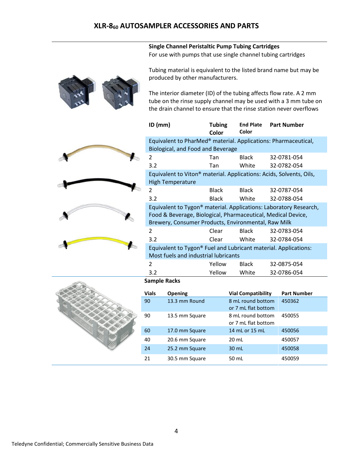#### **Single Channel Peristaltic Pump Tubing Cartridges** For use with pumps that use single channel tubing cartridges

Tubing material is equivalent to the listed brand name but may be produced by other manufacturers.

The interior diameter (ID) of the tubing affects flow rate. A 2 mm tube on the rinse supply channel may be used with a 3 mm tube on the drain channel to ensure that the rinse station never overflows

| $ID$ (mm)                                                                                                                                                                                            | <b>Tubing</b><br>Color | <b>End Plate</b><br>Color | <b>Part Number</b> |  |  |  |
|------------------------------------------------------------------------------------------------------------------------------------------------------------------------------------------------------|------------------------|---------------------------|--------------------|--|--|--|
| Equivalent to PharMed <sup>®</sup> material. Applications: Pharmaceutical,<br>Biological, and Food and Beverage                                                                                      |                        |                           |                    |  |  |  |
| 2                                                                                                                                                                                                    | Tan                    | Black                     | 32-0781-054        |  |  |  |
| 3.2                                                                                                                                                                                                  | Tan                    | White                     | 32-0782-054        |  |  |  |
| Equivalent to Viton <sup>®</sup> material. Applications: Acids, Solvents, Oils,<br><b>High Temperature</b>                                                                                           |                        |                           |                    |  |  |  |
| 2                                                                                                                                                                                                    | <b>Black</b>           | <b>Black</b>              | 32-0787-054        |  |  |  |
| 3.2                                                                                                                                                                                                  | <b>Black</b>           | White                     | 32-0788-054        |  |  |  |
| Equivalent to Tygon <sup>®</sup> material. Applications: Laboratory Research,<br>Food & Beverage, Biological, Pharmaceutical, Medical Device,<br>Brewery, Consumer Products, Environmental, Raw Milk |                        |                           |                    |  |  |  |
| 2                                                                                                                                                                                                    | Clear                  | <b>Black</b>              | 32-0783-054        |  |  |  |
| 3.2                                                                                                                                                                                                  | Clear                  | White                     | 32-0784-054        |  |  |  |
| Equivalent to Tygon® Fuel and Lubricant material. Applications:<br>Most fuels and industrial lubricants                                                                                              |                        |                           |                    |  |  |  |
| 2                                                                                                                                                                                                    | Yellow                 | Black                     | 32-0875-054        |  |  |  |
| 3.2                                                                                                                                                                                                  | Yellow                 | White                     | 32-0786-054        |  |  |  |

#### **Sample Racks**

| <b>Vials</b> | <b>Opening</b> | <b>Vial Compatibility</b> | <b>Part Number</b> |
|--------------|----------------|---------------------------|--------------------|
| 90           | 13.3 mm Round  | 8 mL round bottom         | 450362             |
|              |                | or 7 mL flat bottom       |                    |
| 90           | 13.5 mm Square | 8 mL round bottom         | 450055             |
|              |                | or 7 mL flat bottom       |                    |
| 60           | 17.0 mm Square | 14 mL or 15 mL            | 450056             |
| 40           | 20.6 mm Square | 20 mL                     | 450057             |
| 24           | 25.2 mm Square | 30 mL                     | 450058             |
| 21           | 30.5 mm Square | 50 mL                     | 450059             |

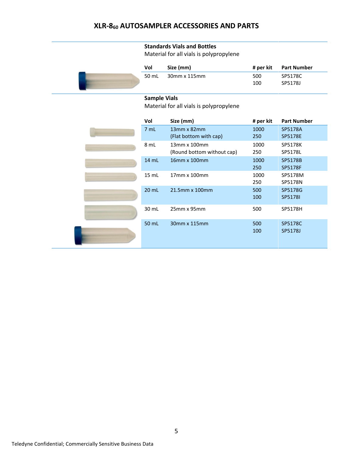#### **Standards Vials and Bottles**

Material for all vials is polypropylene

|                | Vol   | Size (mm)    | # per kit | Part Number |
|----------------|-------|--------------|-----------|-------------|
|                | 50 mL | 30mm x 115mm | 500       | SP5178C     |
| 100<br>SP5178J |       |              |           |             |

#### **Sample Vials**

Material for all vials is polypropylene

|  | Vol     | Size (mm)                                    | # per kit   | <b>Part Number</b>               |
|--|---------|----------------------------------------------|-------------|----------------------------------|
|  | 7 mL    | $13mm \times 82mm$<br>(Flat bottom with cap) | 1000<br>250 | SP5178A<br><b>SP5178E</b>        |
|  | 8 mL    | 13mm x 100mm<br>(Round bottom without cap)   | 1000<br>250 | <b>SP5178K</b><br>SP5178L        |
|  | 14 mL   | 16mm x 100mm                                 | 1000<br>250 | <b>SP5178B</b><br><b>SP5178F</b> |
|  | 15 mL   | 17mm x 100mm                                 | 1000<br>250 | SP5178M<br>SP5178N               |
|  | $20$ mL | 21.5mm x 100mm                               | 500<br>100  | SP5178G<br><b>SP51781</b>        |
|  | 30 mL   | 25mm x 95mm                                  | 500         | SP5178H                          |
|  | 50 mL   | 30mm x 115mm                                 | 500<br>100  | SP5178C<br>SP5178J               |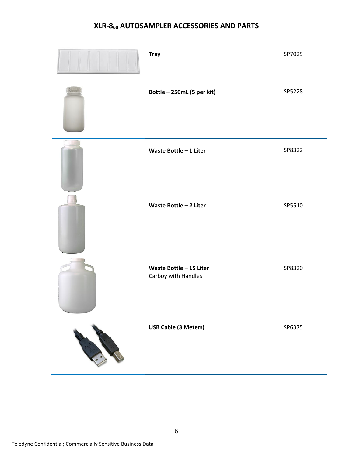| <b>Tray</b>                                    | SP7025 |
|------------------------------------------------|--------|
| Bottle - 250mL (5 per kit)                     | SP5228 |
| Waste Bottle - 1 Liter                         | SP8322 |
| Waste Bottle - 2 Liter                         | SP5510 |
| Waste Bottle - 15 Liter<br>Carboy with Handles | SP8320 |
| <b>USB Cable (3 Meters)</b>                    | SP6375 |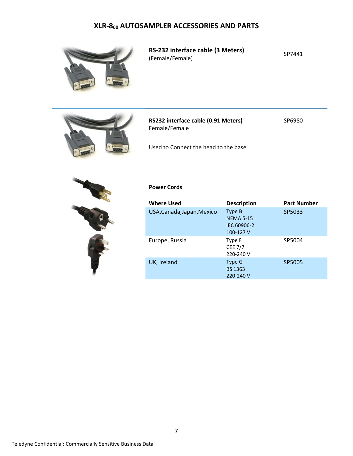

**RS-232 interface cable (3 Meters) R3-232 interface cable (5 ivieters)** SP7441<br>(Female/Female)



**RS232 interface cable (0.91 Meters)**  Female/Female

SP6980

Used to Connect the head to the base



#### **Power Cords**

| <b>Where Used</b>          | <b>Description</b>                                     | <b>Part Number</b> |
|----------------------------|--------------------------------------------------------|--------------------|
| USA, Canada, Japan, Mexico | Type B<br><b>NEMA 5-15</b><br>IEC 60906-2<br>100-127 V | SP5033             |
| Europe, Russia             | Type F<br><b>CEE 7/7</b><br>220-240 V                  | SP5004             |
| UK, Ireland                | Type G<br><b>BS 1363</b><br>220-240 V                  | SP5005             |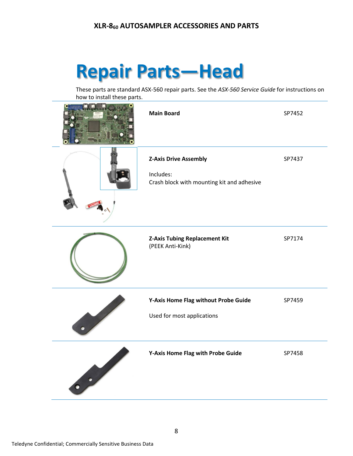# **Repair Parts—Head**

These parts are standard ASX-560 repair parts. See the *ASX-560 Service Guide* for instructions on how to install these parts.

| <b>Main Board</b>                                                                       | SP7452 |
|-----------------------------------------------------------------------------------------|--------|
| <b>Z-Axis Drive Assembly</b><br>Includes:<br>Crash block with mounting kit and adhesive | SP7437 |
| <b>Z-Axis Tubing Replacement Kit</b><br>(PEEK Anti-Kink)                                | SP7174 |
| Y-Axis Home Flag without Probe Guide<br>Used for most applications                      | SP7459 |
| Y-Axis Home Flag with Probe Guide                                                       | SP7458 |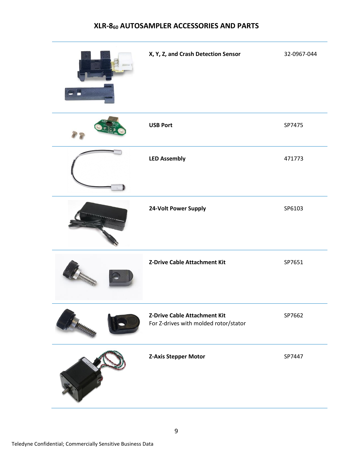| X, Y, Z, and Crash Detection Sensor                                   | 32-0967-044 |
|-----------------------------------------------------------------------|-------------|
| <b>USB Port</b>                                                       | SP7475      |
| <b>LED Assembly</b>                                                   | 471773      |
| 24-Volt Power Supply                                                  | SP6103      |
| Z-Drive Cable Attachment Kit                                          | SP7651      |
| Z-Drive Cable Attachment Kit<br>For Z-drives with molded rotor/stator | SP7662      |
| <b>Z-Axis Stepper Motor</b>                                           | SP7447      |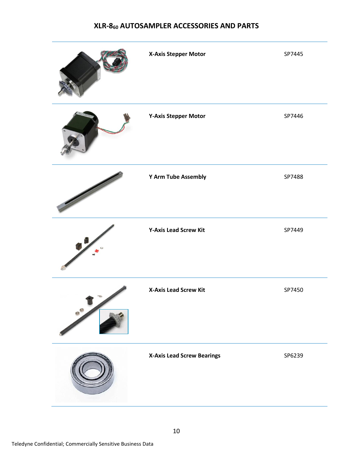|               | X-Axis Stepper Motor              | SP7445 |
|---------------|-----------------------------------|--------|
|               | <b>Y-Axis Stepper Motor</b>       | SP7446 |
|               | Y Arm Tube Assembly               | SP7488 |
|               | <b>Y-Axis Lead Screw Kit</b>      | SP7449 |
| $\circ^\circ$ | <b>X-Axis Lead Screw Kit</b>      | SP7450 |
|               | <b>X-Axis Lead Screw Bearings</b> | SP6239 |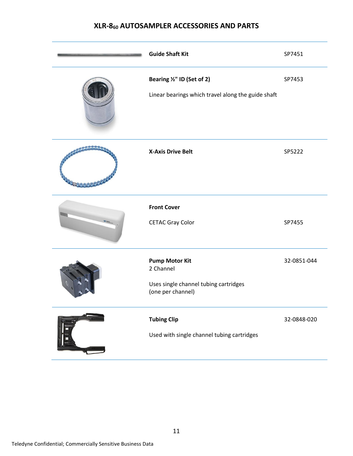| <b>Guide Shaft Kit</b>                                                                           | SP7451      |
|--------------------------------------------------------------------------------------------------|-------------|
| Bearing 1/2" ID (Set of 2)<br>Linear bearings which travel along the guide shaft                 | SP7453      |
| <b>X-Axis Drive Belt</b>                                                                         | SP5222      |
| <b>Front Cover</b><br><b>CETAC Gray Color</b>                                                    | SP7455      |
| <b>Pump Motor Kit</b><br>2 Channel<br>Uses single channel tubing cartridges<br>(one per channel) | 32-0851-044 |
| <b>Tubing Clip</b><br>Used with single channel tubing cartridges                                 | 32-0848-020 |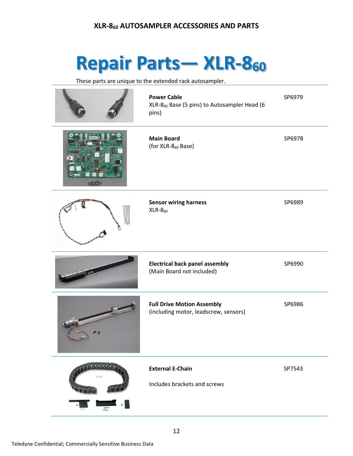# **Repair Parts— XLR-8<sup>60</sup>**

These parts are unique to the extended rack autosampler.

|                | <b>Power Cable</b><br>XLR-8 <sub>60</sub> Base (5 pins) to Autosampler Head (6<br>pins) | SP6979 |
|----------------|-----------------------------------------------------------------------------------------|--------|
|                | <b>Main Board</b><br>(for XLR-8 <sub>60</sub> Base)                                     | SP6978 |
|                | <b>Sensor wiring harness</b><br>$XLR-860$                                               | SP6989 |
|                | <b>Electrical back panel assembly</b><br>(Main Board not included)                      | SP6990 |
|                | <b>Full Drive Motion Assembly</b><br>(including motor, leadscrew, sensors)              | SP6986 |
| $\blacksquare$ | <b>External E-Chain</b><br>Includes brackets and screws                                 | SP7543 |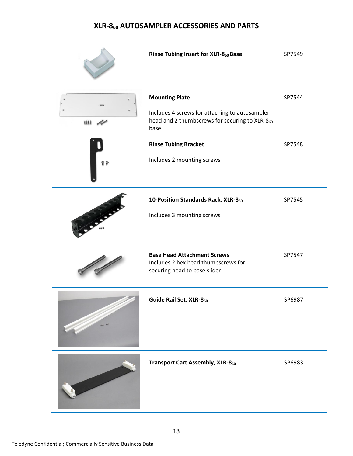|                                | Rinse Tubing Insert for XLR-860 Base                                                                                              | SP7549 |
|--------------------------------|-----------------------------------------------------------------------------------------------------------------------------------|--------|
| $\boldsymbol{u}\boldsymbol{u}$ | <b>Mounting Plate</b><br>Includes 4 screws for attaching to autosampler<br>head and 2 thumbscrews for securing to XLR-860<br>base | SP7544 |
| $\eta$                         | <b>Rinse Tubing Bracket</b><br>Includes 2 mounting screws                                                                         | SP7548 |
|                                | 10-Position Standards Rack, XLR-860<br>Includes 3 mounting screws                                                                 | SP7545 |
|                                | <b>Base Head Attachment Screws</b><br>Includes 2 hex head thumbscrews for<br>securing head to base slider                         | SP7547 |
|                                | Guide Rail Set, XLR-860                                                                                                           | SP6987 |
|                                | <b>Transport Cart Assembly, XLR-860</b>                                                                                           | SP6983 |